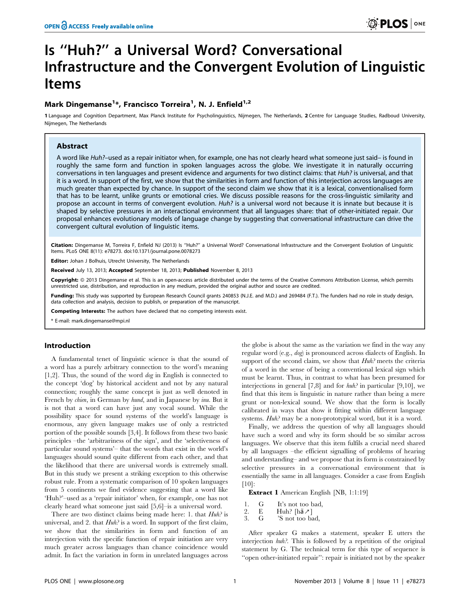# Is ''Huh?'' a Universal Word? Conversational Infrastructure and the Convergent Evolution of Linguistic Items

# Mark Dingemanse<sup>1\*</sup>, Francisco Torreira<sup>1</sup>, N. J. Enfield<sup>1,2</sup>

1 Language and Cognition Department, Max Planck Institute for Psycholinguistics, Nijmegen, The Netherlands, 2 Centre for Language Studies, Radboud University, Nijmegen, The Netherlands

# Abstract

A word like Huh?–used as a repair initiator when, for example, one has not clearly heard what someone just said– is found in roughly the same form and function in spoken languages across the globe. We investigate it in naturally occurring conversations in ten languages and present evidence and arguments for two distinct claims: that Huh? is universal, and that it is a word. In support of the first, we show that the similarities in form and function of this interjection across languages are much greater than expected by chance. In support of the second claim we show that it is a lexical, conventionalised form that has to be learnt, unlike grunts or emotional cries. We discuss possible reasons for the cross-linguistic similarity and propose an account in terms of convergent evolution. Huh? is a universal word not because it is innate but because it is shaped by selective pressures in an interactional environment that all languages share: that of other-initiated repair. Our proposal enhances evolutionary models of language change by suggesting that conversational infrastructure can drive the convergent cultural evolution of linguistic items.

Citation: Dingemanse M, Torreira F, Enfield NJ (2013) Is ''Huh?'' a Universal Word? Conversational Infrastructure and the Convergent Evolution of Linguistic Items. PLoS ONE 8(11): e78273. doi:10.1371/journal.pone.0078273

Editor: Johan J Bolhuis, Utrecht University, The Netherlands

Received July 13, 2013; Accepted September 18, 2013; Published November 8, 2013

Copyright: @ 2013 Dingemanse et al. This is an open-access article distributed under the terms of the [Creative Commons Attribution License,](http://creativecommons.org/licenses/by/4.0/) which permits unrestricted use, distribution, and reproduction in any medium, provided the original author and source are credited.

Funding: This study was supported by European Research Council grants 240853 (N.J.E. and M.D.) and 269484 (F.T.). The funders had no role in study design, data collection and analysis, decision to publish, or preparation of the manuscript.

**ompeting Interests:** The authors have declared that no competing interests exist.

\* E-mail: mark.dingemanse@mpi.nl

# Introduction

A fundamental tenet of linguistic science is that the sound of a word has a purely arbitrary connection to the word's meaning [1,2]. Thus, the sound of the word  $\log$  in English is connected to the concept 'dog' by historical accident and not by any natural connection; roughly the same concept is just as well denoted in French by chien, in German by hund, and in Japanese by inu. But it is not that a word can have just any vocal sound. While the possibility space for sound systems of the world's language is enormous, any given language makes use of only a restricted portion of the possible sounds [3,4]. It follows from these two basic principles –the 'arbitrariness of the sign', and the 'selectiveness of particular sound systems'– that the words that exist in the world's languages should sound quite different from each other, and that the likelihood that there are universal words is extremely small. But in this study we present a striking exception to this otherwise robust rule. From a systematic comparison of 10 spoken languages from 5 continents we find evidence suggesting that a word like 'Huh?'–used as a 'repair initiator' when, for example, one has not clearly heard what someone just said [5,6]–is a universal word.

There are two distinct claims being made here: 1. that  $Huh$ ? is universal, and 2. that  $Huh$ ? is a word. In support of the first claim, we show that the similarities in form and function of an interjection with the specific function of repair initiation are very much greater across languages than chance coincidence would admit. In fact the variation in form in unrelated languages across the globe is about the same as the variation we find in the way any regular word (e.g., dog) is pronounced across dialects of English. In support of the second claim, we show that  $Huh<sup>2</sup>$  meets the criteria of a word in the sense of being a conventional lexical sign which must be learnt. Thus, in contrast to what has been presumed for interjections in general  $[7,8]$  and for  $huh$ ? in particular  $[9,10]$ , we find that this item is linguistic in nature rather than being a mere grunt or non-lexical sound. We show that the form is locally calibrated in ways that show it fitting within different language systems. Huh? may be a non-prototypical word, but it is a word.

Finally, we address the question of why all languages should have such a word and why its form should be so similar across languages. We observe that this item fulfils a crucial need shared by all languages –the efficient signalling of problems of hearing and understanding– and we propose that its form is constrained by selective pressures in a conversational environment that is essentially the same in all languages. Consider a case from English [10]:

Extract 1 American English [NB, 1:1:19]

- 1. G It's not too bad,<br>2. E Huh?  $[\hat{\mathsf{h}} \tilde{\mathsf{a}} \nearrow]$
- 2. E Huh?  $[\hat{\mathsf{h}} \tilde{\mathsf{a}} \nearrow]$
- 3. G 'S not too bad,

After speaker G makes a statement, speaker E utters the interjection huh?. This is followed by a repetition of the original statement by G. The technical term for this type of sequence is "open other-initiated repair": repair is initiated not by the speaker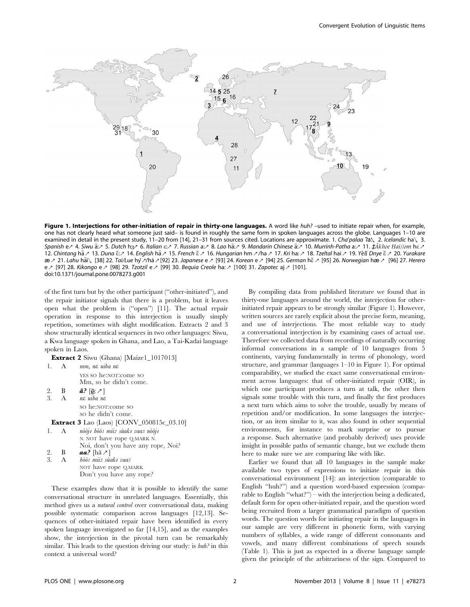

Figure 1. Interjections for other-initiation of repair in thirty-one languages. A word like huh? -used to initiate repair when, for example, one has not clearly heard what someone just said– is found in roughly the same form in spoken languages across the globe. Languages 1–10 are examined in detail in the present study, 11–20 from [14], 21–31 from sources cited. Locations are approximate. 1. Cha'palaa  $7a\lambda$ , 2. Icelandic ha $\lambda$  3. ج Spanish e A 4. Siwu ã: A 5. Dutch h 3 6. Italian ε: A 7. Russian a: A 8. Lao hã: A 9. Mandarin Chinese ã: A 10. Murrinh-Patha a: A 11. ‡Âkhoe Hai//om he 12. Chintang hã ⁊ 13. Duna ɛ̃: ᡔ 14. English hã ↗ 15. French ɛ̃ ↗ 16. Hungarian hm ↗/ha ↗ 17. Kri ha: ↗ 18. Tzeltal hai ↗ 19. Yélî Dnye ɛ̃ ↗ 20. Yurakare æ ↗ 21. Laȟu hãi\, [38] 22. Tai/Lue hy̌ -⁄ |há ↗ [92] 23. Japanese e ↗ [93] 24. Korean e ↗ [94] 25. German hɛ̃ ↗ [95] 26. Norwegian hæ ↗ [96] 27. Herero e  $\ge$  [97] 28. Kikongo e  $\ge$  [98] 29. Tzotzil e  $\ge$  [99] 30. Bequia Creole ha:  $\ge$  [100] 31. Zapotec aj  $\ge$  [101]. doi:10.1371/journal.pone.0078273.g001

of the first turn but by the other participant (''other-initiated''), and the repair initiator signals that there is a problem, but it leaves open what the problem is (''open'') [11]. The actual repair operation in response to this interjection is usually simply repetition, sometimes with slight modification. Extracts 2 and 3 show structurally identical sequences in two other languages: Siwu, a Kwa language spoken in Ghana, and Lao, a Tai-Kadai language spoken in Laos.

Extract 2 Siwu (Ghana) [Maize1\_1017013]

| $\mathbf{1}$ .                                     | A            | mm, ne uiba ne                         |  |  |  |  |
|----------------------------------------------------|--------------|----------------------------------------|--|--|--|--|
|                                                    |              | YES SO he:NOT:come SO                  |  |  |  |  |
|                                                    |              | Mm, so he didn't come.                 |  |  |  |  |
| 2.                                                 | $\mathbf{B}$ | $\tilde{a}$ ? [ $\tilde{v}$ : $\geq$ ] |  |  |  |  |
| 3. A                                               |              | ne uiba ne                             |  |  |  |  |
|                                                    |              | so he:NOT:come so                      |  |  |  |  |
|                                                    |              | so he didn't come.                     |  |  |  |  |
| <b>Extract 3</b> Lao (Laos) $[CONV_050815c_03.10]$ |              |                                        |  |  |  |  |
| 1.                                                 | A            | nòòj4 bòò1 mii2 sùak4 vaa3 nòòj4       |  |  |  |  |
|                                                    |              | N. NOT have rope Q.MARK N.             |  |  |  |  |
|                                                    |              |                                        |  |  |  |  |
|                                                    |              | Noi, don't you have any rope, Noi?     |  |  |  |  |
| 2.                                                 | $\mathbf{B}$ | aa? $[\hat{\text{ha}} \, \mathcal{A}]$ |  |  |  |  |
| 3.                                                 |              | A bòòi miiz sùaka vaas                 |  |  |  |  |
|                                                    |              | NOT have rope Q.MARK                   |  |  |  |  |

These examples show that it is possible to identify the same conversational structure in unrelated languages. Essentially, this method gives us a natural control over conversational data, making possible systematic comparison across languages [12,13]. Sequences of other-initiated repair have been identified in every spoken language investigated so far [14,15], and as the examples show, the interjection in the pivotal turn can be remarkably similar. This leads to the question driving our study: is huh? in this context a universal word?

By compiling data from published literature we found that in thirty-one languages around the world, the interjection for otherinitiated repair appears to be strongly similar (Figure 1). However, written sources are rarely explicit about the precise form, meaning, and use of interjections. The most reliable way to study a conversational interjection is by examining cases of actual use. Therefore we collected data from recordings of naturally occurring informal conversations in a sample of 10 languages from 5 continents, varying fundamentally in terms of phonology, word structure, and grammar (languages 1–10 in Figure 1). For optimal comparability, we studied the exact same conversational environment across languages: that of other-initiated repair (OIR), in which one participant produces a turn at talk, the other then signals some trouble with this turn, and finally the first produces a next turn which aims to solve the trouble, usually by means of repetition and/or modification. In some languages the interjection, or an item similar to it, was also found in other sequential environments, for instance to mark surprise or to pursue a response. Such alternative (and probably derived) uses provide insight in possible paths of semantic change, but we exclude them here to make sure we are comparing like with like.

Earlier we found that all 10 languages in the sample make available two types of expressions to initiate repair in this conversational environment [14]: an interjection (comparable to English ''huh?'') and a question word-based expression (comparable to English ''what?'') – with the interjection being a dedicated, default form for open other-initiated repair, and the question word being recruited from a larger grammatical paradigm of question words. The question words for initiating repair in the languages in our sample are very different in phonetic form, with varying numbers of syllables, a wide range of different consonants and vowels, and many different combinations of speech sounds (Table 1). This is just as expected in a diverse language sample given the principle of the arbitrariness of the sign. Compared to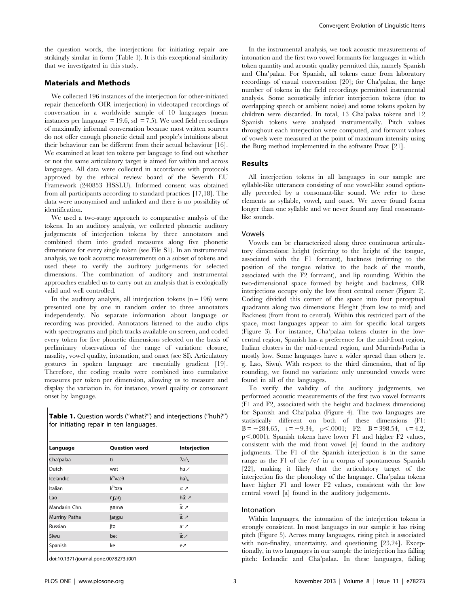the question words, the interjections for initiating repair are strikingly similar in form (Table 1). It is this exceptional similarity that we investigated in this study.

# Materials and Methods

We collected 196 instances of the interjection for other-initiated repair (henceforth OIR interjection) in videotaped recordings of conversation in a worldwide sample of 10 languages (mean instances per language  $= 19.6$ , sd  $= 7.5$ ). We used field recordings of maximally informal conversation because most written sources do not offer enough phonetic detail and people's intuitions about their behaviour can be different from their actual behaviour [16]. We examined at least ten tokens per language to find out whether or not the same articulatory target is aimed for within and across languages. All data were collected in accordance with protocols approved by the ethical review board of the Seventh EU Framework (240853 HSSLU). Informed consent was obtained from all participants according to standard practices [17,18]. The data were anonymised and unlinked and there is no possibility of identification.

We used a two-stage approach to comparative analysis of the tokens. In an auditory analysis, we collected phonetic auditory judgements of interjection tokens by three annotators and combined them into graded measures along five phonetic dimensions for every single token (see File S1). In an instrumental analysis, we took acoustic measurements on a subset of tokens and used these to verify the auditory judgements for selected dimensions. The combination of auditory and instrumental approaches enabled us to carry out an analysis that is ecologically valid and well controlled.

In the auditory analysis, all interjection tokens  $(n = 196)$  were presented one by one in random order to three annotators independently. No separate information about language or recording was provided. Annotators listened to the audio clips with spectrograms and pitch tracks available on screen, and coded every token for five phonetic dimensions selected on the basis of preliminary observations of the range of variation: closure, nasality, vowel quality, intonation, and onset (see SI). Articulatory gestures in spoken language are essentially gradient [19]. Therefore, the coding results were combined into cumulative measures per token per dimension, allowing us to measure and display the variation in, for instance, vowel quality or consonant onset by language.

Table 1. Question words (''what?'') and interjections (''huh?'') for initiating repair in ten languages.

| Language      | <b>Question word</b> | Interjection                 |
|---------------|----------------------|------------------------------|
| Cha'palaa     | ti                   | $7a:\mathcal{L}$             |
| Dutch         | wat                  | h32                          |
| Icelandic     | $k^h$ va: $\theta$   | $ha\$                        |
| Italian       | khoza                | $\epsilon$ . $\lambda$       |
| Lao           | i'nan                | $h \tilde{a}$ : $\tilde{a}$  |
| Mandarin Chn. | səmə                 | $\tilde{a}$ : $\tilde{b}$    |
| Murriny Patha | tangu                | $\tilde{a}$ : $\overline{a}$ |
| Russian       | [tɔ                  | $a: \nearrow$                |
| Siwu          | be:                  | $\tilde{a}$ : $\overline{a}$ |
| Spanish       | ke                   | e <sub>7</sub>               |

doi:10.1371/journal.pone.0078273.t001

In the instrumental analysis, we took acoustic measurements of intonation and the first two vowel formants for languages in which token quantity and acoustic quality permitted this, namely Spanish and Cha'palaa. For Spanish, all tokens came from laboratory recordings of casual conversation [20]; for Cha'palaa, the large number of tokens in the field recordings permitted instrumental analysis. Some acoustically inferior interjection tokens (due to overlapping speech or ambient noise) and some tokens spoken by children were discarded. In total, 13 Cha'palaa tokens and 12 Spanish tokens were analysed instrumentally. Pitch values throughout each interjection were computed, and formant values of vowels were measured at the point of maximum intensity using the Burg method implemented in the software Praat [21].

#### Results

All interjection tokens in all languages in our sample are syllable-like utterances consisting of one vowel-like sound optionally preceded by a consonant-like sound. We refer to these elements as syllable, vowel, and onset. We never found forms longer than one syllable and we never found any final consonantlike sounds.

#### Vowels

Vowels can be characterized along three continuous articulatory dimensions: height (referring to the height of the tongue, associated with the F1 formant), backness (referring to the position of the tongue relative to the back of the mouth, associated with the F2 formant), and lip rounding. Within the two-dimensional space formed by height and backness, OIR interjections occupy only the low front central corner (Figure 2). Coding divided this corner of the space into four perceptual quadrants along two dimensions: Height (from low to mid) and Backness (from front to central). Within this restricted part of the space, most languages appear to aim for specific local targets (Figure 3). For instance, Cha'palaa tokens cluster in the lowcentral region, Spanish has a preference for the mid-front region, Italian clusters in the mid-central region, and Murrinh-Patha is mostly low. Some languages have a wider spread than others (e. g. Lao, Siwu). With respect to the third dimension, that of lip rounding, we found no variation: only unrounded vowels were found in all of the languages.

To verify the validity of the auditory judgements, we performed acoustic measurements of the first two vowel formants (F1 and F2, associated with the height and backness dimensions) for Spanish and Cha'palaa (Figure 4). The two languages are statistically different on both of these dimensions (F1:  $B = -284.65$ ,  $t = -9.34$ ,  $p<.0001$ ; F2:  $B = 398.54$ ,  $t = 4.2$ ,  $p<.0001$ ). Spanish tokens have lower F1 and higher F2 values, consistent with the mid front vowel [e] found in the auditory judgments. The F1 of the Spanish interjection is in the same range as the F1 of the /e/ in a corpus of spontaneous Spanish [22], making it likely that the articulatory target of the interjection fits the phonology of the language. Cha'palaa tokens have higher F1 and lower F2 values, consistent with the low central vowel [a] found in the auditory judgements.

#### Intonation

Within languages, the intonation of the interjection tokens is strongly consistent. In most languages in our sample it has rising pitch (Figure 5). Across many languages, rising pitch is associated with non-finality, uncertainty, and questioning [23,24]. Exceptionally, in two languages in our sample the interjection has falling pitch: Icelandic and Cha'palaa. In these languages, falling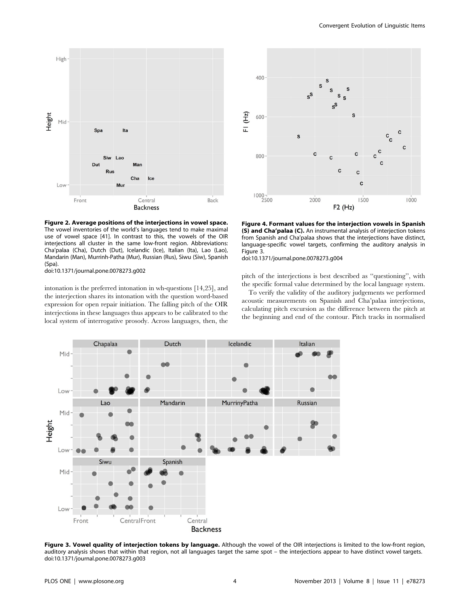

Figure 2. Average positions of the interjections in vowel space. The vowel inventories of the world's languages tend to make maximal use of vowel space [41]. In contrast to this, the vowels of the OIR interjections all cluster in the same low-front region. Abbreviations: Cha'palaa (Cha), Dutch (Dut), Icelandic (Ice), Italian (Ita), Lao (Lao), Mandarin (Man), Murrinh-Patha (Mur), Russian (Rus), Siwu (Siw), Spanish (Spa). doi:10.1371/journal.pone.0078273.g002

intonation is the preferred intonation in wh-questions [14,25], and the interjection shares its intonation with the question word-based expression for open repair initiation. The falling pitch of the OIR interjections in these languages thus appears to be calibrated to the local system of interrogative prosody. Across languages, then, the



Figure 4. Formant values for the interjection vowels in Spanish (S) and Cha'palaa (C). An instrumental analysis of interjection tokens from Spanish and Cha'palaa shows that the interjections have distinct, language-specific vowel targets, confirming the auditory analysis in Figure 3.

doi:10.1371/journal.pone.0078273.g004

pitch of the interjections is best described as ''questioning'', with the specific formal value determined by the local language system.

To verify the validity of the auditory judgements we performed acoustic measurements on Spanish and Cha'palaa interjections, calculating pitch excursion as the difference between the pitch at the beginning and end of the contour. Pitch tracks in normalised



Figure 3. Vowel quality of interjection tokens by language. Although the vowel of the OIR interjections is limited to the low-front region, auditory analysis shows that within that region, not all languages target the same spot – the interjections appear to have distinct vowel targets. doi:10.1371/journal.pone.0078273.g003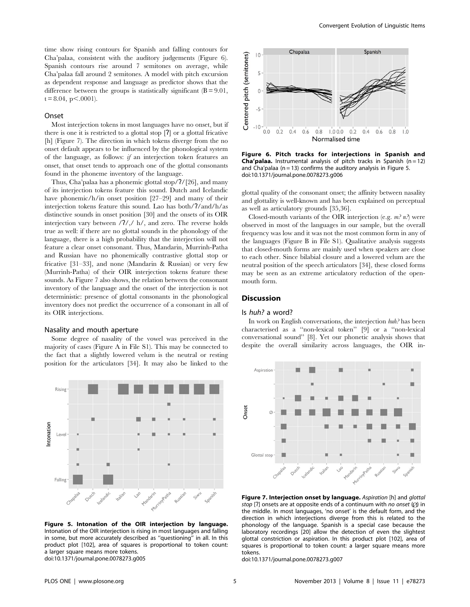time show rising contours for Spanish and falling contours for Cha'palaa, consistent with the auditory judgements (Figure 6). Spanish contours rise around 7 semitones on average, while Cha'palaa fall around 2 semitones. A model with pitch excursion as dependent response and language as predictor shows that the difference between the groups is statistically significant  $(B = 9.01$ ,  $t = 8.04$ , p $\leq$ .0001).

### Onset

Most interjection tokens in most languages have no onset, but if there is one it is restricted to a glottal stop [ʔ] or a glottal fricative [h] (Figure 7). The direction in which tokens diverge from the no onset default appears to be influenced by the phonological system of the language, as follows:  $if$  an interjection token features an onset, that onset tends to approach one of the glottal consonants found in the phoneme inventory of the language.

Thus, Cha'palaa has a phonemic glottal stop/ʔ/[26], and many of its interjection tokens feature this sound. Dutch and Icelandic have phonemic/h/in onset position [27–29] and many of their interjection tokens feature this sound. Lao has both/ʔ/and/h/as distinctive sounds in onset position [30] and the onsets of its OIR interjection vary between /ʔ/,/ h/, and zero. The reverse holds true as well: if there are no glottal sounds in the phonology of the language, there is a high probability that the interjection will not feature a clear onset consonant. Thus, Mandarin, Murrinh-Patha and Russian have no phonemically contrastive glottal stop or fricative [31–33], and none (Mandarin & Russian) or very few (Murrinh-Patha) of their OIR interjection tokens feature these sounds. As Figure 7 also shows, the relation between the consonant inventory of the language and the onset of the interjection is not deterministic: presence of glottal consonants in the phonological inventory does not predict the occurrence of a consonant in all of its OIR interjections.

#### Nasality and mouth aperture

Some degree of nasality of the vowel was perceived in the majority of cases (Figure A in File S1). This may be connected to the fact that a slightly lowered velum is the neutral or resting position for the articulators [34]. It may also be linked to the



Figure 5. Intonation of the OIR interjection by language. Intonation of the OIR interjection is rising in most languages and falling in some, but more accurately described as ''questioning'' in all. In this product plot [102], area of squares is proportional to token count: a larger square means more tokens. doi:10.1371/journal.pone.0078273.g005



Figure 6. Pitch tracks for interjections in Spanish and **Cha'palaa.** Instrumental analysis of pitch tracks in Spanish ( $n = 12$ ) and Cha'palaa ( $n = 13$ ) confirms the auditory analysis in Figure 5. doi:10.1371/journal.pone.0078273.g006

glottal quality of the consonant onset; the affinity between nasality and glottality is well-known and has been explained on perceptual as well as articulatory grounds [35,36].

Closed-mouth variants of the OIR interjection (e.g.  $m^2 n^2$ ) were observed in most of the languages in our sample, but the overall frequency was low and it was not the most common form in any of the languages (Figure B in File S1). Qualitative analysis suggests that closed-mouth forms are mainly used when speakers are close to each other. Since bilabial closure and a lowered velum are the neutral position of the speech articulators [34], these closed forms may be seen as an extreme articulatory reduction of the openmouth form.

# Discussion

# Is huh? a word?

In work on English conversations, the interjection huh? has been characterised as a ''non-lexical token'' [9] or a ''non-lexical conversational sound'' [8]. Yet our phonetic analysis shows that despite the overall similarity across languages, the OIR in-



Figure 7. Interjection onset by language. Aspiration [h] and glottal stop [ $\alpha$ ] onsets are at opposite ends of a continuum with no onset ( $\alpha$ ) in the middle. In most languages, 'no onset' is the default form, and the direction in which interjections diverge from this is related to the phonology of the language. Spanish is a special case because the laboratory recordings [20] allow the detection of even the slightest glottal constriction or aspiration. In this product plot [102], area of squares is proportional to token count: a larger square means more tokens.

doi:10.1371/journal.pone.0078273.g007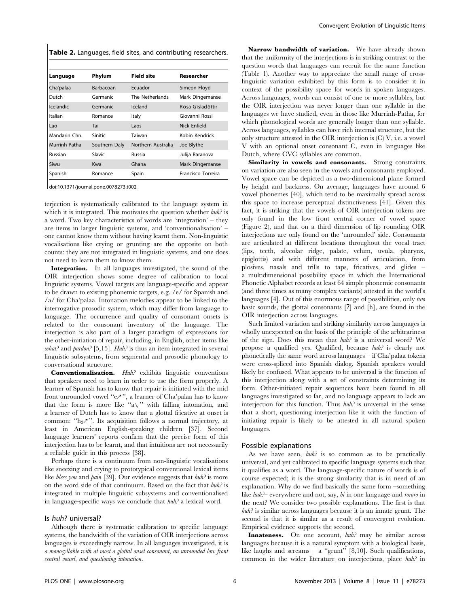Table 2. Languages, field sites, and contributing researchers.

| Language      | Phylum         | <b>Field site</b>  | Researcher         |
|---------------|----------------|--------------------|--------------------|
| Cha'palaa     | Barbacoan      | Ecuador            | Simeon Floyd       |
| Dutch         | Germanic       | The Netherlands    | Mark Dingemanse    |
| Icelandic     | Germanic       | Iceland            | Rösa Gïsladöttir   |
| Italian       | Romance        | Italy              | Giovanni Rossi     |
| Lao           | Tai            | Laos               | Nick Enfield       |
| Mandarin Chn. | <b>Sinitic</b> | Taiwan             | Kobin Kendrick     |
| Murrinh-Patha | Southern Daly  | Northern Australia | Joe Blythe         |
| Russian       | Slavic         | Russia             | Julija Baranova    |
| Siwu          | Kwa            | Ghana              | Mark Dingemanse    |
| Spanish       | Romance        | Spain              | Francisco Torreira |

doi:10.1371/journal.pone.0078273.t002

terjection is systematically calibrated to the language system in which it is integrated. This motivates the question whether huh? is a word. Two key characteristics of words are 'integration' – they are items in larger linguistic systems, and 'conventionalisation' – one cannot know them without having learnt them. Non-linguistic vocalisations like crying or grunting are the opposite on both counts: they are not integrated in linguistic systems, and one does not need to learn them to know them.

Integration. In all languages investigated, the sound of the OIR interjection shows some degree of calibration to local linguistic systems. Vowel targets are language-specific and appear to be drawn to existing phonemic targets, e.g. /e/ for Spanish and /a/ for Cha'palaa. Intonation melodies appear to be linked to the interrogative prosodic system, which may differ from language to language. The occurrence and quality of consonant onsets is related to the consonant inventory of the language. The interjection is also part of a larger paradigm of expressions for the other-initiation of repair, including, in English, other items like what? and pardon? [5,15]. Huh? is thus an item integrated in several linguistic subsystems, from segmental and prosodic phonology to conversational structure.

Conventionalisation. Huh? exhibits linguistic conventions that speakers need to learn in order to use the form properly. A learner of Spanish has to know that repair is initiated with the mid front unrounded vowel " $e\mathcal{F}$ ", a learner of Cha'palaa has to know that the form is more like " $a\$ " with falling intonation, and a learner of Dutch has to know that a glottal fricative at onset is common: ''h3 8''. Its acquisition follows a normal trajectory, at least in American English-speaking children [37]. Second language learners' reports confirm that the precise form of this interjection has to be learnt, and that intuitions are not necessarily a reliable guide in this process [38].

Perhaps there is a continuum from non-linguistic vocalisations like sneezing and crying to prototypical conventional lexical items like *bless you* and *pain* [39]. Our evidence suggests that *huh*? is more on the word side of that continuum. Based on the fact that huh? is integrated in multiple linguistic subsystems and conventionalised in language-specific ways we conclude that huh? a lexical word.

# Is huh? universal?

Although there is systematic calibration to specific language systems, the bandwidth of the variation of OIR interjections across languages is exceedingly narrow. In all languages investigated, it is a monosyllable with at most a glottal onset consonant, an unrounded low front central vowel, and questioning intonation.

Narrow bandwidth of variation. We have already shown that the uniformity of the interjections is in striking contrast to the question words that languages can recruit for the same function (Table 1). Another way to appreciate the small range of crosslinguistic variation exhibited by this form is to consider it in context of the possibility space for words in spoken languages. Across languages, words can consist of one or more syllables, but the OIR interjection was never longer than one syllable in the languages we have studied, even in those like Murrinh-Patha, for which phonological words are generally longer than one syllable. Across languages, syllables can have rich internal structure, but the only structure attested in the OIR interjection is (C) V, i.e. a vowel V with an optional onset consonant C, even in languages like Dutch, where CVC syllables are common.

Similarity in vowels and consonants. Strong constraints on variation are also seen in the vowels and consonants employed. Vowel space can be depicted as a two-dimensional plane formed by height and backness. On average, languages have around 6 vowel phonemes [40], which tend to be maximally spread across this space to increase perceptual distinctiveness [41]. Given this fact, it is striking that the vowels of OIR interjection tokens are only found in the low front central corner of vowel space (Figure 2), and that on a third dimension of lip rounding OIR interjections are only found on the 'unrounded' side. Consonants are articulated at different locations throughout the vocal tract (lips, teeth, alveolar ridge, palate, velum, uvula, pharynx, epiglottis) and with different manners of articulation, from plosives, nasals and trills to taps, fricatives, and glides – a multidimensional possibility space in which the International Phonetic Alphabet records at least 64 simple phonemic consonants (and three times as many complex variants) attested in the world's languages [4]. Out of this enormous range of possibilities, only two basic sounds, the glottal consonants [ʔ] and [h], are found in the OIR interjection across languages.

Such limited variation and striking similarity across languages is wholly unexpected on the basis of the principle of the arbitrariness of the sign. Does this mean that huh? is a universal word? We propose a qualified yes. Qualified, because huh? is clearly not phonetically the same word across languages – if Cha'palaa tokens were cross-spliced into Spanish dialog, Spanish speakers would likely be confused. What appears to be universal is the function of this interjection along with a set of constraints determining its form. Other-initiated repair sequences have been found in all languages investigated so far, and no language appears to lack an interjection for this function. Thus huh? is universal in the sense that a short, questioning interjection like it with the function of initiating repair is likely to be attested in all natural spoken languages.

#### Possible explanations

As we have seen, huh? is so common as to be practically universal, and yet calibrated to specific language systems such that it qualifies as a word. The language-specific nature of words is of course expected; it is the strong similarity that is in need of an explanation. Why do we find basically the same form –something like huh?– everywhere and not, say, bi in one language and rororo in the next? We consider two possible explanations. The first is that huh? is similar across languages because it is an innate grunt. The second is that it is similar as a result of convergent evolution. Empirical evidence supports the second.

Innateness. On one account, huh? may be similar across languages because it is a natural symptom with a biological basis, like laughs and screams – a "grunt" [8,10]. Such qualifications, common in the wider literature on interjections, place huh? in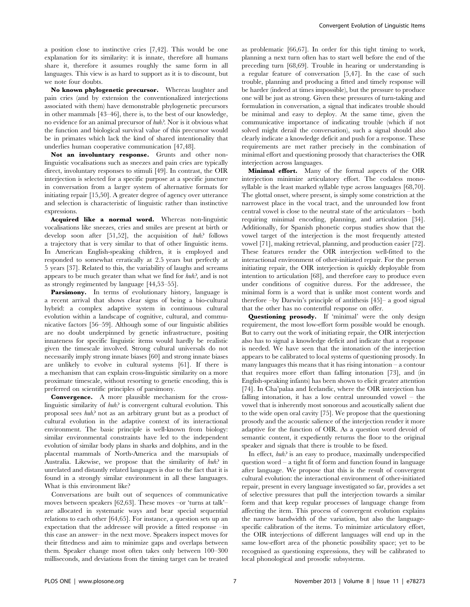a position close to instinctive cries [7,42]. This would be one explanation for its similarity: it is innate, therefore all humans share it, therefore it assumes roughly the same form in all languages. This view is as hard to support as it is to discount, but we note four doubts.

No known phylogenetic precursor. Whereas laughter and pain cries (and by extension the conventionalized interjections associated with them) have demonstrable phylogenetic precursors in other mammals [43–46], there is, to the best of our knowledge, no evidence for an animal precursor of huh?. Nor is it obvious what the function and biological survival value of this precursor would be in primates which lack the kind of shared intentionality that underlies human cooperative communication [47,48].

Not an involuntary response. Grunts and other nonlinguistic vocalisations such as sneezes and pain cries are typically direct, involuntary responses to stimuli [49]. In contrast, the OIR interjection is selected for a specific purpose at a specific juncture in conversation from a larger system of alternative formats for initiating repair [15,50]. A greater degree of agency over utterance and selection is characteristic of linguistic rather than instinctive expressions.

Acquired like a normal word. Whereas non-linguistic vocalisations like sneezes, cries and smiles are present at birth or develop soon after [51,52], the acquisition of huh? follows a trajectory that is very similar to that of other linguistic items. In American English-speaking children, it is employed and responded to somewhat erratically at 2.5 years but perfectly at 5 years [37]. Related to this, the variability of laughs and screams appears to be much greater than what we find for huh?, and is not as strongly regimented by language [44,53–55].

Parsimony. In terms of evolutionary history, language is a recent arrival that shows clear signs of being a bio-cultural hybrid: a complex adaptive system in continuous cultural evolution within a landscape of cognitive, cultural, and communicative factors [56–59]. Although some of our linguistic abilities are no doubt underpinned by genetic infrastructure, positing innateness for specific linguistic items would hardly be realistic given the timescale involved. Strong cultural universals do not necessarily imply strong innate biases [60] and strong innate biases are unlikely to evolve in cultural systems [61]. If there is a mechanism that can explain cross-linguistic similarity on a more proximate timescale, without resorting to genetic encoding, this is preferred on scientific principles of parsimony.

Convergence. A more plausible mechanism for the crosslinguistic similarity of huh? is convergent cultural evolution. This proposal sees huh? not as an arbitrary grunt but as a product of cultural evolution in the adaptive context of its interactional environment. The basic principle is well-known from biology: similar environmental constraints have led to the independent evolution of similar body plans in sharks and dolphins, and in the placental mammals of North-America and the marsupials of Australia. Likewise, we propose that the similarity of huh? in unrelated and distantly related languages is due to the fact that it is found in a strongly similar environment in all these languages. What is this environment like?

Conversations are built out of sequences of communicative moves between speakers [62,63]. These moves –or 'turns at talk'– are allocated in systematic ways and bear special sequential relations to each other [64,65]. For instance, a question sets up an expectation that the addressee will provide a fitted response –in this case an answer– in the next move. Speakers inspect moves for their fittedness and aim to minimize gaps and overlaps between them. Speaker change most often takes only between 100–300 milliseconds, and deviations from the timing target can be treated as problematic [66,67]. In order for this tight timing to work, planning a next turn often has to start well before the end of the preceding turn [68,69]. Trouble in hearing or understanding is a regular feature of conversation [5,47]. In the case of such trouble, planning and producing a fitted and timely response will be harder (indeed at times impossible), but the pressure to produce one will be just as strong. Given these pressures of turn-taking and formulation in conversation, a signal that indicates trouble should be minimal and easy to deploy. At the same time, given the communicative importance of indicating trouble (which if not solved might derail the conversation), such a signal should also clearly indicate a knowledge deficit and push for a response. These requirements are met rather precisely in the combination of minimal effort and questioning prosody that characterises the OIR interjection across languages.

Minimal effort. Many of the formal aspects of the OIR interjection minimize articulatory effort. The codaless monosyllable is the least marked syllable type across languages [68,70]. The glottal onset, where present, is simply some constriction at the narrowest place in the vocal tract, and the unrounded low front central vowel is close to the neutral state of the articulators – both requiring minimal encoding, planning, and articulation [34]. Additionally, for Spanish phonetic corpus studies show that the vowel target of the interjection is the most frequently attested vowel [71], making retrieval, planning, and production easier [72]. These features render the OIR interjection well-fitted to the interactional environment of other-initiated repair. For the person initiating repair, the OIR interjection is quickly deployable from intention to articulation [68], and therefore easy to produce even under conditions of cognitive duress. For the addressee, the minimal form is a word that is unlike most content words and therefore –by Darwin's principle of antithesis [45]– a good signal that the other has no contentful response on offer.

Questioning prosody. If 'minimal' were the only design requirement, the most low-effort form possible would be enough. But to carry out the work of initiating repair, the OIR interjection also has to signal a knowledge deficit and indicate that a response is needed. We have seen that the intonation of the interjection appears to be calibrated to local systems of questioning prosody. In many languages this means that it has rising intonation  $-$  a contour that requires more effort than falling intonation [73], and (in English-speaking infants) has been shown to elicit greater attention [74]. In Cha'palaa and Icelandic, where the OIR interjection has falling intonation, it has a low central unrounded vowel – the vowel that is inherently most sonorous and acoustically salient due to the wide open oral cavity [75]. We propose that the questioning prosody and the acoustic salience of the interjection render it more adaptive for the function of OIR. As a question word devoid of semantic content, it expediently returns the floor to the original speaker and signals that there is trouble to be fixed.

In effect, huh? is an easy to produce, maximally underspecified question word – a tight fit of form and function found in language after language. We propose that this is the result of convergent cultural evolution: the interactional environment of other-initiated repair, present in every language investigated so far, provides a set of selective pressures that pull the interjection towards a similar form and that keep regular processes of language change from affecting the item. This process of convergent evolution explains the narrow bandwidth of the variation, but also the languagespecific calibration of the items. To minimize articulatory effort, the OIR interjections of different languages will end up in the same low-effort area of the phonetic possibility space; yet to be recognised as questioning expressions, they will be calibrated to local phonological and prosodic subsystems.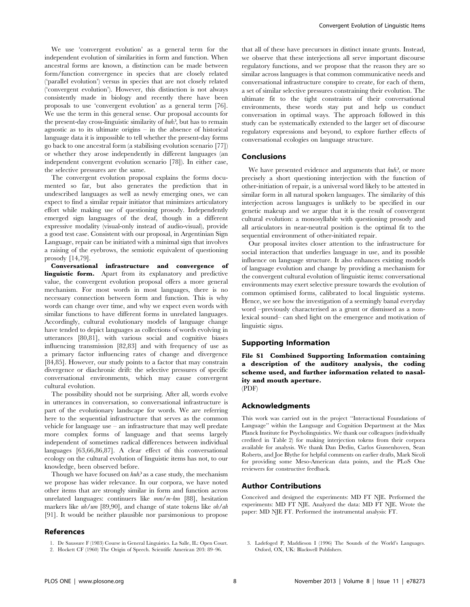We use 'convergent evolution' as a general term for the independent evolution of similarities in form and function. When ancestral forms are known, a distinction can be made between form/function convergence in species that are closely related ('parallel evolution') versus in species that are not closely related ('convergent evolution'). However, this distinction is not always consistently made in biology and recently there have been proposals to use 'convergent evolution' as a general term [76]. We use the term in this general sense. Our proposal accounts for the present-day cross-linguistic similarity of huh?, but has to remain agnostic as to its ultimate origins – in the absence of historical language data it is impossible to tell whether the present-day forms go back to one ancestral form (a stabilising evolution scenario [77]) or whether they arose independently in different languages (an independent convergent evolution scenario [78]). In either case, the selective pressures are the same.

The convergent evolution proposal explains the forms documented so far, but also generates the prediction that in undescribed languages as well as newly emerging ones, we can expect to find a similar repair initiator that minimizes articulatory effort while making use of questioning prosody. Independently emerged sign languages of the deaf, though in a different expressive modality (visual-only instead of audio-visual), provide a good test case. Consistent with our proposal, in Argentinian Sign Language, repair can be initiated with a minimal sign that involves a raising of the eyebrows, the semiotic equivalent of questioning prosody [14,79].

Conversational infrastructure and convergence of linguistic form. Apart from its explanatory and predictive value, the convergent evolution proposal offers a more general mechanism. For most words in most languages, there is no necessary connection between form and function. This is why words can change over time, and why we expect even words with similar functions to have different forms in unrelated languages. Accordingly, cultural evolutionary models of language change have tended to depict languages as collections of words evolving in utterances [80,81], with various social and cognitive biases influencing transmission [82,83] and with frequency of use as a primary factor influencing rates of change and divergence [84,85]. However, our study points to a factor that may constrain divergence or diachronic drift: the selective pressures of specific conversational environments, which may cause convergent cultural evolution.

The possibility should not be surprising. After all, words evolve in utterances in conversation, so conversational infrastructure is part of the evolutionary landscape for words. We are referring here to the sequential infrastructure that serves as the common vehicle for language use – an infrastructure that may well predate more complex forms of language and that seems largely independent of sometimes radical differences between individual languages [63,66,86,87]. A clear effect of this conversational ecology on the cultural evolution of linguistic items has not, to our knowledge, been observed before.

Though we have focused on huh? as a case study, the mechanism we propose has wider relevance. In our corpora, we have noted other items that are strongly similar in form and function across unrelated languages: continuers like mm/m-hm [88], hesitation markers like  $uh/um$  [89,90], and change of state tokens like  $oh/ah$ [91]. It would be neither plausible nor parsimonious to propose

#### References

that all of these have precursors in distinct innate grunts. Instead, we observe that these interjections all serve important discourse regulatory functions, and we propose that the reason they are so similar across languages is that common communicative needs and conversational infrastructure conspire to create, for each of them, a set of similar selective pressures constraining their evolution. The ultimate fit to the tight constraints of their conversational environments, these words stay put and help us conduct conversation in optimal ways. The approach followed in this study can be systematically extended to the larger set of discourse regulatory expressions and beyond, to explore further effects of conversational ecologies on language structure.

### Conclusions

We have presented evidence and arguments that huh?, or more precisely a short questioning interjection with the function of other-initiation of repair, is a universal word likely to be attested in similar form in all natural spoken languages. The similarity of this interjection across languages is unlikely to be specified in our genetic makeup and we argue that it is the result of convergent cultural evolution: a monosyllable with questioning prosody and all articulators in near-neutral position is the optimal fit to the sequential environment of other-initiated repair.

Our proposal invites closer attention to the infrastructure for social interaction that underlies language in use, and its possible influence on language structure. It also enhances existing models of language evolution and change by providing a mechanism for the convergent cultural evolution of linguistic items: conversational environments may exert selective pressure towards the evolution of common optimised forms, calibrated to local linguistic systems. Hence, we see how the investigation of a seemingly banal everyday word –previously characterised as a grunt or dismissed as a nonlexical sound– can shed light on the emergence and motivation of linguistic signs.

# Supporting Information

File S1 Combined Supporting Information containing a description of the auditory analysis, the coding scheme used, and further information related to nasality and mouth aperture. (PDF)

#### Acknowledgments

This work was carried out in the project ''Interactional Foundations of Language'' within the Language and Cognition Department at the Max Planck Institute for Psycholinguistics. We thank our colleagues (individually credited in Table 2) for making interjection tokens from their corpora available for analysis. We thank Dan Dediu, Carlos Gussenhoven, Sean Roberts, and Joe Blythe for helpful comments on earlier drafts, Mark Sicoli for providing some Meso-American data points, and the PLoS One reviewers for constructive feedback.

# Author Contributions

Conceived and designed the experiments: MD FT NJE. Performed the experiments: MD FT NJE. Analyzed the data: MD FT NJE. Wrote the paper: MD NJE FT. Performed the instrumental analysis: FT.

2. Hockett CF (1960) The Origin of Speech. Scientific American 203: 89–96.

<sup>3.</sup> Ladefoged P, Maddieson I (1996) The Sounds of the World's Languages. Oxford, OX, UK: Blackwell Publishers.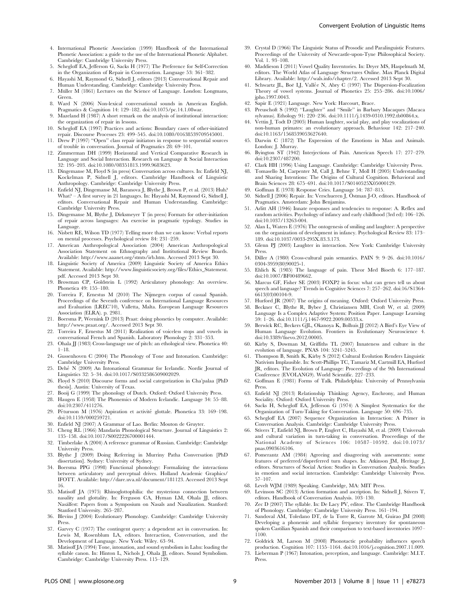- 4. International Phonetic Association (1999) Handbook of the International Phonetic Association: a guide to the use of the International Phonetic Alphabet. Cambridge: Cambridge University Press.
- 5. Schegloff EA, Jefferson G, Sacks H (1977) The Preference for Self-Correction in the Organization of Repair in Conversation. Language 53: 361–382.
- 6. Hayashi M, Raymond G, Sidnell J, editors (2013) Conversational Repair and Human Understanding. Cambridge: Cambridge University Press.
- 7. Müller M (1861) Lectures on the Science of Language. London: Longmans, Green.
- 8. Ward N (2006) Non-lexical conversational sounds in American English. Pragmatics & Cognition 14: 129–182. doi:10.1075/pc.14.1.08war.
- 9. Mazeland H (1987) A short remark on the analysis of institutional interaction: the organization of repair in lessons.
- 10. Schegloff EA (1997) Practices and actions: Boundary cases of other-initiated repair. Discourse Processes 23: 499–545. doi:10.1080/01638539709545001.
- 11. Drew P (1997) ''Open'' class repair initiators in response to sequential sources of trouble in conversation. Journal of Pragmatics 28: 69–101.
- 12. Zimmerman DH (1999) Horizontal and Vertical Comparative Research in Language and Social Interaction. Research on Language & Social Interaction 32: 195–203. doi:10.1080/08351813.1999.9683623.
- 13. Dingemanse M, Floyd S (in press) Conversation across cultures. In: Enfield NJ, Kockelman P, Sidnell J, editors. Cambridge Handbook of Linguistic Anthropology. Cambridge: Cambridge University Press.
- 14. Enfield NJ, Dingemanse M, Baranova J, Blythe J, Brown P, et al. (2013) Huh? What? – A first survey in 21 languages. In: Hayashi M, Raymond G, Sidnell J, editors. Conversational Repair and Human Understanding. Cambridge: Cambridge University Press.
- 15. Dingemanse M, Blythe J, Dirksmeyer T (in press) Formats for other-initiation of repair across languages: An exercise in pragmatic typology. Studies in Language.
- 16. Nisbett RE, Wilson TD (1977) Telling more than we can know: Verbal reports on mental processes. Psychological review 84: 231–259.
- 17. American Anthropological Association (2004) American Anthropological Association Statement on Ethnography and Institutional Review Boards. Available: http://www.aaanet.org/stmts/irb.htm. Accessed 2013 Sept 30.
- 18. Linguistic Society of America (2009) Linguistic Society of America Ethics Statement. Available: http://www.linguisticsociety.org/files/Ethics\_Statement. pdf. Accessed 2013 Sept 30.
- 19. Browman CP, Goldstein L (1992) Articulatory phonology: An overview. Phonetica 49: 155–180.
- 20. Torreira F, Ernestus M (2010) The Nijmegen corpus of casual Spanish. Proceedings of the Seventh conference on International Language Resources and Evaluation (LREC'10), Valletta, Malta. European Language Resources Association (ELRA). p. 2981.
- 21. Boersma P, Weenink D (2013) Praat: doing phonetics by computer. Available: http://www.praat.org/. Accessed 2013 Sept 30.
- 22. Torreira F, Ernestus M (2011) Realization of voiceless stops and vowels in conversational French and Spanish. Laboratory Phonology 2: 331–353.
- 23. Ohala JJ (1983) Cross-language use of pitch: an ethological view. Phonetica 40: 1–18.
- 24. Gussenhoven C (2004) The Phonology of Tone and Intonation. Cambridge: Cambridge University Press.
- 25. Dehé N (2009) An Intonational Grammar for Icelandic. Nordic Journal of Linguistics 32: 5–34. doi:10.1017/S0332586509002029.
- 26. Floyd S (2010) Discourse forms and social categorization in Cha'palaa [PhD thesis]. Austin: University of Texas.
- 27. Booij G (1999) The phonology of Dutch. Oxford: Oxford University Press.
- 28. Haugen E (1958) The Phonemics of Modern Icelandic. Language 34: 55–88. doi:10.2307/411276.
- 29. Pétursson M (1976) Aspiration et activité glottale. Phonetica 33: 169–198. doi:10.1159/000259721.
- 30. Enfield NJ (2007) A Grammar of Lao. Berlin: Mouton de Gruyter.
- 31. Cheng RL (1966) Mandarin Phonological Structure. Journal of Linguistics 2: 135–158. doi:10.1017/S0022226700001444.
- 32. Timberlake A (2004) A reference grammar of Russian. Cambridge: Cambridge University Press.
- 33. Blythe J (2009) Doing Referring in Murriny Patha Conversation [PhD dissertation]. Sydney: University of Sydney.
- 34. Boersma PPG (1998) Functional phonology: Formalizing the interactions between articulatory and perceptual drives. Holland Academic Graphics/ IFOTT. Available: http://dare.uva.nl/document/181123. Accessed 2013 Sept 16.
- 35. Matisoff JA (1975) Rhinoglottophilia: the mysterious connection between nasality and glottality. In: Ferguson CA, Hyman LM, Ohala JJ, editors. Nasálfest: Papers from a Symposium on Nasals and Nasalization. Stanford: Stanford University. 265–287.
- 36. Blevins J (2004) Evolutionary Phonology. Cambridge: Cambridge University Press.
- 37. Garvey C (1977) The contingent query: a dependent act in conversation. In: Lewis M, Rosenblum LA, editors. Interaction, Conversation, and the Development of Language. New York: Wiley. 63–94.
- 38. Matisoff JA (1994) Tone, intonation, and sound symbolism in Lahu: loading the syllable canon. In: Hinton L, Nichols J, Ohala JJ, editors. Sound Symbolism. Cambridge: Cambridge University Press. 115–129.

Convergent Evolution of Linguistic Items

- 39. Crystal D (1966) The Linguistic Status of Prosodic and Paralinguistic Features. Proceedings of the University of Newcastle-upon-Tyne Philosophical Society. Vol. 1. 93–108.
- 40. Maddieson I (2011) Vowel Quality Inventories. In: Dryer MS, Haspelmath M, editors. The World Atlas of Language Structures Online. Max Planck Digital Library. Available: http://wals.info/chapter/2. Accessed 2013 Sept 30.
- 41. Schwartz JL, Boë LJ, Vallée N, Abry C (1997) The Dispersion-Focalization Theory of vowel systems. Journal of Phonetics 25: 255–286. doi:10.1006/ jpho.1997.0043.
- 42. Sapir E (1921) Language. New York: Harcourt, Brace.
- 43. Preuschoft S (1992) ''Laughter'' and ''Smile'' in Barbary Macaques (Macaca sylvanus). Ethology 91: 220–236. doi:10.1111/j.1439-0310.1992.tb00864.x.
- 44. Vettin J, Todt D (2005) Human laughter, social play, and play vocalizations of non-human primates: an evolutionary approach. Behaviour 142: 217–240. doi:10.1163/1568539053627640.
- 45. Darwin C (1872) The Expression of the Emotions in Man and Animals. London: J. Murray.
- 46. Byington ST (1942) Interjections of Pain. American Speech 17: 277–279. doi:10.2307/487200.
- 47. Clark HH (1996) Using Language. Cambridge: Cambridge University Press.
- 48. Tomasello M, Carpenter M, Call J, Behne T, Moll H (2005) Understanding and Sharing Intentions: The Origins of Cultural Cognition. Behavioral and Brain Sciences 28: 675–691. doi:10.1017/S0140525X05000129.
- 49. Goffman E (1978) Response Cries. Language 54: 787–815.
- 50. Sidnell J (2006) Repair. In: Verschueren J, Östman J-O, editors. Handbook of Pragmatics. Amsterdam: John Benjamins.
- 51. Arlitt AH (1946) Innate responses and tendencies to response: A. Reflex and random activities. Psychology of infancy and early childhood (3rd ed): 106–126. doi:10.1037/13263-004.
- 52. Alan L, Waters E (1976) The ontogenesis of smiling and laughter: A perspective on the organization of development in infancy. Psychological Review 83: 173– 189. doi:10.1037/0033-295X.83.3.173.
- 53. Glenn PJ (2003) Laughter in interaction. New York: Cambridge University Press.
- 54. Diller A (1980) Cross-cultural pain semantics. PAIN 9: 9–26. doi:10.1016/ 0304-3959(80)90025-1.
- 55. Ehlich K (1985) The language of pain. Theor Med Bioeth 6: 177–187. doi:10.1007/BF00489662.
- 56. Marcus GF, Fisher SE (2003) FOXP2 in focus: what can genes tell us about speech and language? Trends in Cognitive Sciences 7: 257–262. doi:16/S1364- 6613(03)00104-9.
- 57. Hurford JR (2007) The origins of meaning. Oxford: Oxford University Press.
- 58. Beckner C, Blythe R, Bybee J, Christiansen MH, Croft W, et al. (2009) Language Is a Complex Adaptive System: Position Paper. Language Learning 59: 1–26. doi:10.1111/j.1467-9922.2009.00533.x.
- 59. Berwick RC, Beckers GJL, Okanoya K, Bolhuis JJ (2012) A Bird's Eye View of Human Language Evolution. Frontiers in Evolutionary Neuroscience 4. doi:10.3389/fnevo.2012.00005.
- 60. Kirby S, Dowman M, Griffiths TL (2007) Innateness and culture in the evolution of language. PNAS 104: 5241–5245.
- 61. Thompson B, Smith K, Kirby S (2012) Cultural Evolution Renders Linguistic Nativism Implausible. In: Scott-Phillips TC, Tamariz M, Cartmill EA, Hurford JR, editors. The Evolution of Language: Proceedings of the 9th International Conference (EVOLANG9). World Scientific. 227–233.
- 62. Goffman E (1981) Forms of Talk. Philadelphia: University of Pennsylvania **Press**
- 63. Enfield NJ (2013) Relationship Thinking: Agency, Enchrony, and Human Sociality. Oxford: Oxford University Press.
- 64. Sacks H, Schegloff EA, Jefferson G (1974) A Simplest Systematics for the Organization of Turn-Taking for Conversation. Language 50: 696–735.
- 65. Schegloff EA (2007) Sequence Organization in Interaction: A Primer in Conversation Analysis. Cambridge: Cambridge University Press.
- 66. Stivers T, Enfield NJ, Brown P, Englert C, Hayashi M, et al. (2009) Universals and cultural variation in turn-taking in conversation. Proceedings of the National Academy of Sciences 106: 10587–10592. doi:10.1073/ pnas.0903616106.
- 67. Pomerantz AM (1984) Agreeing and disagreeing with assessments: some features of preferred/dispreferred turn shapes. In: Atkinson JM, Heritage J, editors. Structures of Social Action: Studies in Conversation Analysis. Studies in emotion and social interaction. Cambridge: Cambridge University Press. 57–107.
- 68. Levelt WJM (1989) Speaking. Cambridge, MA: MIT Press.
- 69. Levinson SC (2013) Action formation and ascription. In: Sidnell J, Stivers T, editors. Handbook of Conversation Analysis. 103–130.
- 70. Zec D (2007) The syllable. In: De Lacy PV, editor. The Cambridge Handbook of Phonology. Cambridge: Cambridge University Press. 161–194.
- 71. Sandoval AM, Toledano DT, de la Torre R, Garrote M, Guirao JM (2008) Developing a phonemic and syllabic frequency inventory for spontaneous spoken Castilian Spanish and their comparison to text-based inventories 1097– 1100.
- 72. Goldrick M, Larson M (2008) Phonotactic probability influences speech production. Cognition 107: 1155–1164. doi:10.1016/j.cognition.2007.11.009.
- 73. Lieberman P (1967) Intonation, perception, and language. Cambridge: M.I.T. Press.